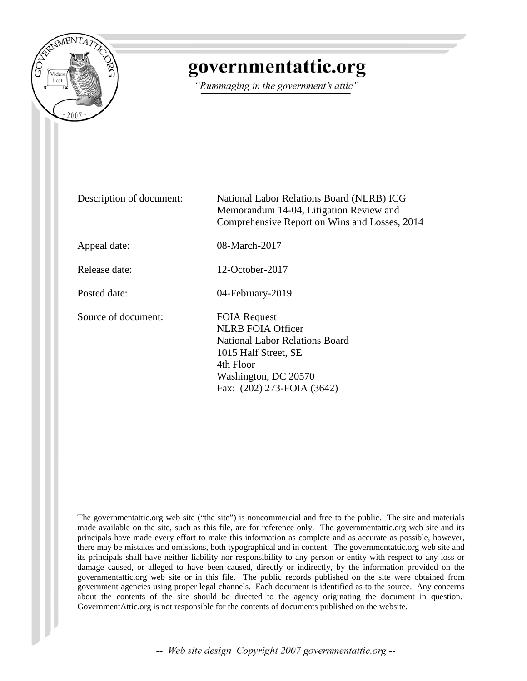

# governmentattic.org

"Rummaging in the government's attic"

Description of document: National Labor Relations Board (NLRB) ICG Memorandum 14-04, Litigation Review and Comprehensive Report on Wins and Losses, 2014 Appeal date: 08-March-2017 Release date: 12-October-2017 Posted date: 04-February-2019 Source of document: FOIA Request NLRB FOIA Officer National Labor Relations Board 1015 Half Street, SE 4th Floor Washington, DC 20570 Fax: (202) 273-FOIA (3642)

The governmentattic.org web site ("the site") is noncommercial and free to the public. The site and materials made available on the site, such as this file, are for reference only. The governmentattic.org web site and its principals have made every effort to make this information as complete and as accurate as possible, however, there may be mistakes and omissions, both typographical and in content. The governmentattic.org web site and its principals shall have neither liability nor responsibility to any person or entity with respect to any loss or damage caused, or alleged to have been caused, directly or indirectly, by the information provided on the governmentattic.org web site or in this file. The public records published on the site were obtained from government agencies using proper legal channels. Each document is identified as to the source. Any concerns about the contents of the site should be directed to the agency originating the document in question. GovernmentAttic.org is not responsible for the contents of documents published on the website.

-- Web site design Copyright 2007 governmentattic.org --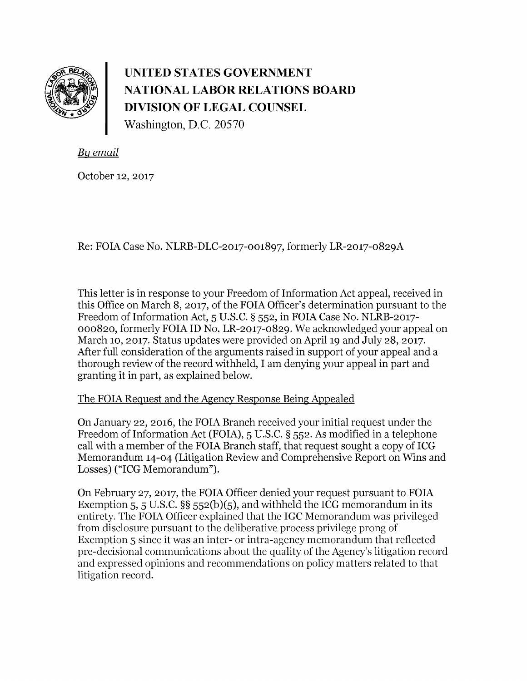

**UNITED STATES GOVERNMENT NATIONAL LABOR RELATIONS BOARD DIVISION OF LEGAL COUNSEL**  Washington, D.C. 20570

*By email* 

October 12, 2017

Re: FOIA Case No. NLRB-DLC-2017-001897, formerly LR-2017-0829A

This letter is in response to your Freedom of Information Act appeal, received in this Office on March 8, 2017, of the FOIA Officer's determination pursuant to the Freedom of Information Act, 5 U.S.C. § 552, in FOIA Case No. NLRB-2017- 000820, formerly FOIA ID No. LR-2017-0829. We acknowledged your appeal on March 10, 2017. Status updates were provided on April 19 and July 28, 2017. After full consideration of the arguments raised in support of your appeal and a thorough review of the record withheld, I am denying your appeal in part and granting it in part, as explained below.

### The FOIA Request and the Agency Response Being Appealed

On January 22, 2016, the FOIA Branch received your initial request under the Freedom of Information Act (FOIA), 5 U.S.C. § 552. As modified in a telephone call with a member of the FOIA Branch staff, that request sought a copy of ICG Memorandum 14-04 (Litigation Review and Comprehensive Report on Wins and Losses) ("ICG Memorandum").

On February 27, 2017, the FOIA Officer denied your request pursuant to FOIA Exemption 5, 5 U.S.C.  $\S$ § 552(b)(5), and withheld the ICG memorandum in its entirety. The FOIA Officer explained that the IGC Memorandum was privileged from disclosure pursuant to the deliberative process privilege prong of Exemption 5 since it was an inter- or intra-agency memorandum that reflected pre-decisional communications about the quality of the Agency's litigation record and expressed opinions and recommendations on policy matters related to that litigation record.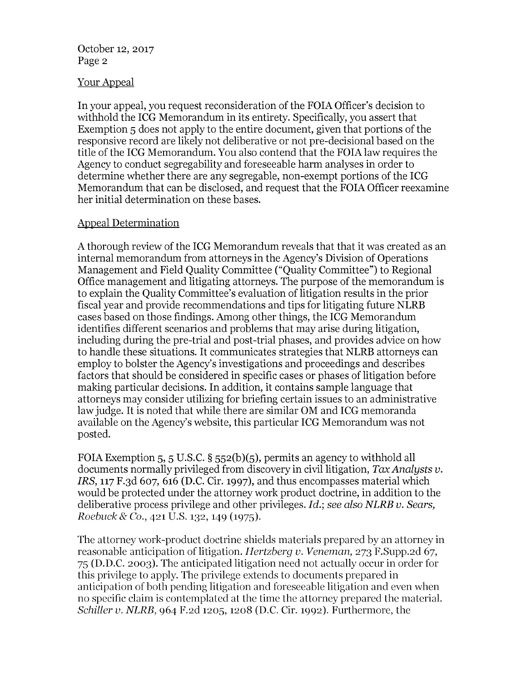#### October 12, 2017 Page 2

#### Your Appeal

In your appeal, you request reconsideration of the FOIA Officer's decision to withhold the ICG Memorandum in its entirety. Specifically, you assert that Exemption 5 does not apply to the entire document, given that portions of the responsive record are likely not deliberative or not pre-decisional based on the title of the ICG Memorandum. You also contend that the FOIA law requires the Agency to conduct segregability and foreseeable harm analyses in order to determine whether there are any segregable, non-exempt portions of the ICG Memorandum that can be disclosed, and request that the FOIA Officer reexamine her initial determination on these bases.

### Appeal Determination

A thorough review of the ICG Memorandum reveals that that it was created as an internal memorandum from attorneys in the Agency's Division of Operations Management and Field Quality Committee ("Quality Committee") to Regional Office management and litigating attorneys. The purpose of the memorandum is to explain the Quality Committee's evaluation of litigation results in the prior fiscal year and provide recommendations and tips for litigating future **NLRB**  cases based on those findings. Among other things, the ICG Memorandum identifies different scenarios and problems that may arise during litigation, including during the pre-trial and post-trial phases, and provides advice on how to handle these situations. It communicates strategies that **NLRB** attorneys can employ to bolster the Agency's investigations and proceedings and describes factors that should be considered in specific cases or phases of litigation before making particular decisions. In addition, it contains sample language that attorneys may consider utilizing for briefing certain issues to an administrative law judge. It is noted that while there are similar OM and ICG memoranda available on the Agency's website, this particular ICG Memorandum was not posted.

FOIA Exemption 5, 5 U.S.C. § 552(b)(5), permits an agency to withhold all documents normally privileged from discovery in civil litigation, *Tax Analysts v. IRS,* 117 F.3d 607, 616 (D.C. Cir. 1997), and thus encompasses material which would be protected under the attorney work product doctrine, in addition to the deliberative process privilege and other privileges. *Id.; see also NLRB v. Sears, Roebuck* & Co., 421 U.S. 132, 149 (1975).

The attorney work-product doctrine shields materials prepared by an attorney in reasonable anticipation of litigation. *Hertzberg v. Veneman,* 273 F.Supp.2d 67, 75 (D.D.C. 2003). The anticipated litigation need not actually occur in order for this privilege to apply. The privilege extends to documents prepared in anticipation of both pending litigation and foreseeable litigation and even when no specific claim is contemplated at the time the attorney prepared the material. *Schiller v. NLRB,* 964 F.2d 1205, 1208 (D.C. Cir. 1992). Furthermore, the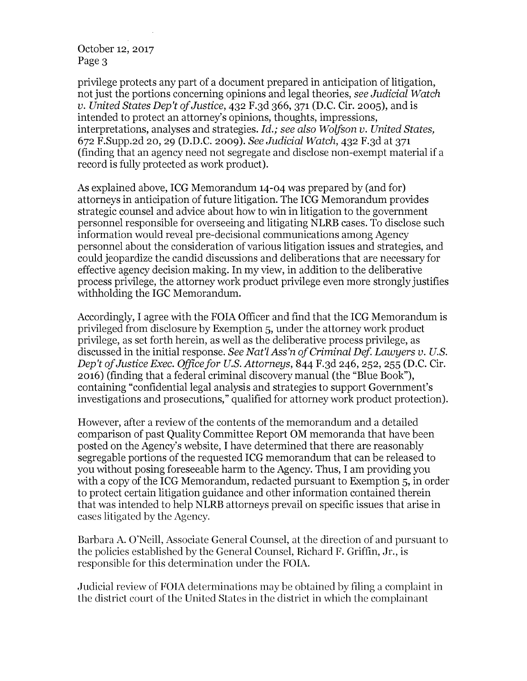#### October 12, 2017 Page 3

privilege protects any part of a document prepared in anticipation of litigation, not just the portions concerning opinions and legal theories, *see Judicial Watch v. United States Dep't of Justice,* 432 F.3d 366, 371 (D.C. Cir. 2005), and is intended to protect an attorney's opinions, thoughts, impressions, interpretations, analyses and strategies. *Id.; see also Wolfson v. United States,*  672 F.Supp.2d 20, 29 **(D.D.C.** 2009). *See Judicial Watch,* 432 F.3d at 371 (finding that an agency need not segregate and disclose non-exempt material if a record is fully protected as work product).

As explained above, ICG Memorandum 14-04 was prepared by (and for) attorneys in anticipation of future litigation. The ICG Memorandum provides strategic counsel and advice about how to win in litigation to the government personnel responsible for overseeing and litigating **NLRB** cases. To disclose such information would reveal pre-decisional communications among Agency personnel about the consideration of various litigation issues and strategies, and could jeopardize the candid discussions and deliberations that are necessary for effective agency decision making. In my view, in addition to the deliberative process privilege, the attorney work product privilege even more strongly justifies withholding the IGC Memorandum.

Accordingly, I agree with the FOIA Officer and find that the ICG Memorandum is privileged from disclosure by Exemption 5, under the attorney work product privilege, as set forth herein, as well as the deliberative process privilege, as discussed in the initial response. *See Nat'l Ass'n of Criminal Def Lawyers v. U.S. Dep't of Justice Exec. Office for U.S. Attorneys,* 844 F.3d 246, 252, 255 (D.C. Cir. 2016) (finding that a federal criminal discovery manual (the "Blue Book"), containing "confidential legal analysis and strategies to support Government's investigations and prosecutions," qualified for attorney work product protection).

However, after a review of the contents of the memorandum and a detailed comparison of past Quality Committee Report OM memoranda that have been posted on the Agency's website, I have determined that there are reasonably segregable portions of the requested ICG memorandum that can be released to you without posing foreseeable harm to the Agency. Thus, I am providing you with a copy of the ICG Memorandum, redacted pursuant to Exemption 5, in order to protect certain litigation guidance and other information contained therein that was intended to help NLRB attorneys prevail on specific issues that arise in cases litigated by the Agency.

Barbara A. O'Neill, Associate General Counsel, at the direction of and pursuant to the policies established by the General Counsel, Richard F. Griffin, Jr., is responsible for this determination under the FOIA.

Judicial review of FOIA determinations may be obtained by filing a complaint in the district court of the United States in the district in which the complainant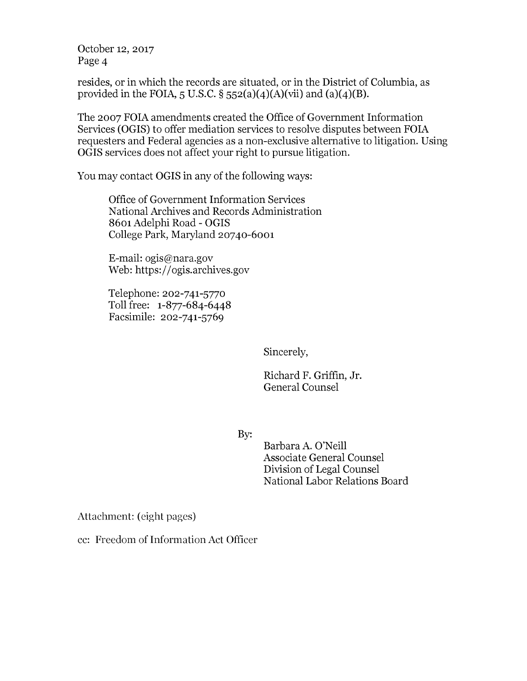October 12, 2017 Page 4

resides, or in which the records are situated, or in the District of Columbia, as provided in the FOIA,  $5 \text{ U.S.C.}$   $\S$   $552(a)(4)(A)(vii)$  and  $(a)(4)(B)$ .

The 2007 FOIA amendments created the Office of Government Information Services (OGIS) to offer mediation services to resolve disputes between FOIA requesters and Federal agencies as a non-exclusive alternative to litigation. Using **OGIS** services does not affect your right to pursue litigation.

You may contact **OGIS** in any of the following ways:

Office of Government Information Services National Archives and Records Administration 8601 Adelphi Road - OGIS College Park, Maryland 20740-6001

E-mail: ogis@nara.gov Web: https://ogis.archives.gov

Telephone: 202-741-5770 Toll free: 1-877-684-6448 Facsimile: 202-741-5769

Sincerely,

Richard F. Griffin, Jr. General Counsel

By:

Barbara A. O'Neill Associate General Counsel Division of Legal Counsel National Labor Relations Board

Attachment: (eight pages)

cc: Freedom of Information Act Officer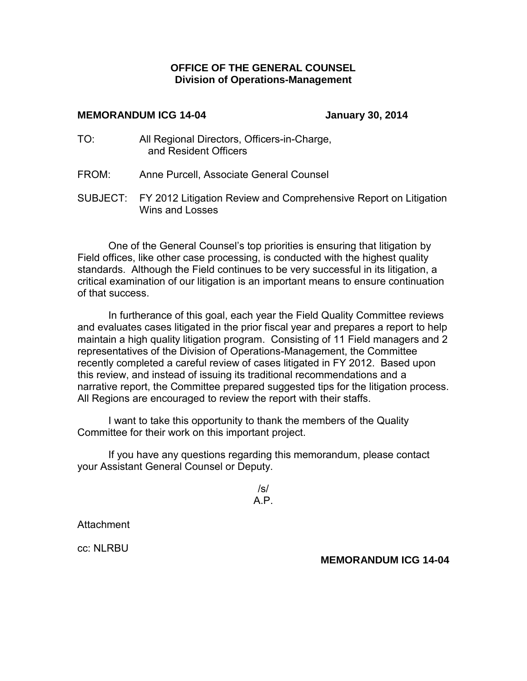#### **OFFICE OF THE GENERAL COUNSEL Division of Operations-Management**

#### **MEMORANDUM ICG 14-04 January 30, 2014**

- TO: All Regional Directors, Officers-in-Charge, and Resident Officers
- FROM: Anne Purcell, Associate General Counsel
- SUBJECT: FY 2012 Litigation Review and Comprehensive Report on Litigation Wins and Losses

One of the General Counsel's top priorities is ensuring that litigation by Field offices, like other case processing, is conducted with the highest quality standards. Although the Field continues to be very successful in its litigation, a critical examination of our litigation is an important means to ensure continuation of that success.

In furtherance of this goal, each year the Field Quality Committee reviews and evaluates cases litigated in the prior fiscal year and prepares a report to help maintain a high quality litigation program. Consisting of 11 Field managers and 2 representatives of the Division of Operations-Management, the Committee recently completed a careful review of cases litigated in FY 2012. Based upon this review, and instead of issuing its traditional recommendations and a narrative report, the Committee prepared suggested tips for the litigation process. All Regions are encouraged to review the report with their staffs.

I want to take this opportunity to thank the members of the Quality Committee for their work on this important project.

If you have any questions regarding this memorandum, please contact your Assistant General Counsel or Deputy.

| /s/ |  |  |  |  |  |  |  |
|-----|--|--|--|--|--|--|--|
| Д   |  |  |  |  |  |  |  |

Attachment

cc: NLRBU

#### **MEMORANDUM ICG 14-04**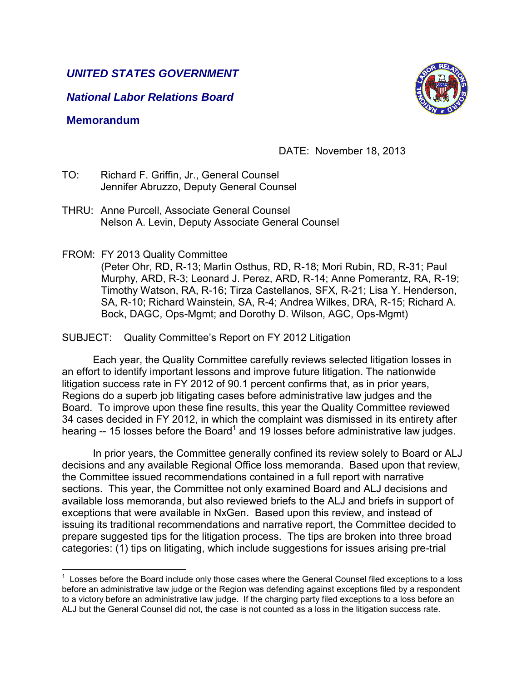### *UNITED STATES GOVERNMENT*

*National Labor Relations Board*

### **Memorandum**

 $\overline{a}$ 

# DATE: November 18, 2013

- TO: Richard F. Griffin, Jr., General Counsel Jennifer Abruzzo, Deputy General Counsel
- THRU: Anne Purcell, Associate General Counsel Nelson A. Levin, Deputy Associate General Counsel
- FROM: FY 2013 Quality Committee

(Peter Ohr, RD, R-13; Marlin Osthus, RD, R-18; Mori Rubin, RD, R-31; Paul Murphy, ARD, R-3; Leonard J. Perez, ARD, R-14; Anne Pomerantz, RA, R-19; Timothy Watson, RA, R-16; Tirza Castellanos, SFX, R-21; Lisa Y. Henderson, SA, R-10; Richard Wainstein, SA, R-4; Andrea Wilkes, DRA, R-15; Richard A. Bock, DAGC, Ops-Mgmt; and Dorothy D. Wilson, AGC, Ops-Mgmt)

SUBJECT: Quality Committee's Report on FY 2012 Litigation

 Each year, the Quality Committee carefully reviews selected litigation losses in an effort to identify important lessons and improve future litigation. The nationwide litigation success rate in FY 2012 of 90.1 percent confirms that, as in prior years, Regions do a superb job litigating cases before administrative law judges and the Board. To improve upon these fine results, this year the Quality Committee reviewed 34 cases decided in FY 2012, in which the complaint was dismissed in its entirety after hearing  $-$  15 losses before the Board<sup>1</sup> and 19 losses before administrative law judges.

 In prior years, the Committee generally confined its review solely to Board or ALJ decisions and any available Regional Office loss memoranda. Based upon that review, the Committee issued recommendations contained in a full report with narrative sections. This year, the Committee not only examined Board and ALJ decisions and available loss memoranda, but also reviewed briefs to the ALJ and briefs in support of exceptions that were available in NxGen. Based upon this review, and instead of issuing its traditional recommendations and narrative report, the Committee decided to prepare suggested tips for the litigation process. The tips are broken into three broad categories: (1) tips on litigating, which include suggestions for issues arising pre-trial



 $1$  Losses before the Board include only those cases where the General Counsel filed exceptions to a loss before an administrative law judge or the Region was defending against exceptions filed by a respondent to a victory before an administrative law judge. If the charging party filed exceptions to a loss before an ALJ but the General Counsel did not, the case is not counted as a loss in the litigation success rate.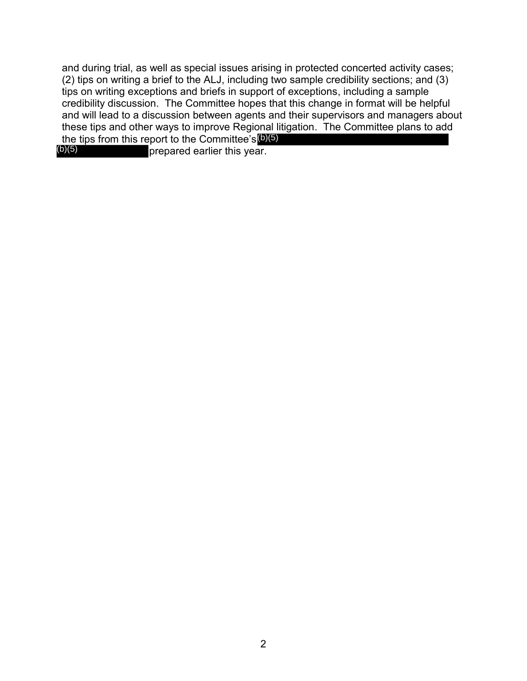and during trial, as well as special issues arising in protected concerted activity cases; (2) tips on writing a brief to the ALJ, including two sample credibility sections; and (3) tips on writing exceptions and briefs in support of exceptions, including a sample credibility discussion. The Committee hopes that this change in format will be helpful and will lead to a discussion between agents and their supervisors and managers about these tips and other ways to improve Regional litigation. The Committee plans to add the tips from this report to the Committee's (b)(5)

prepared earlier this year. (b)(5)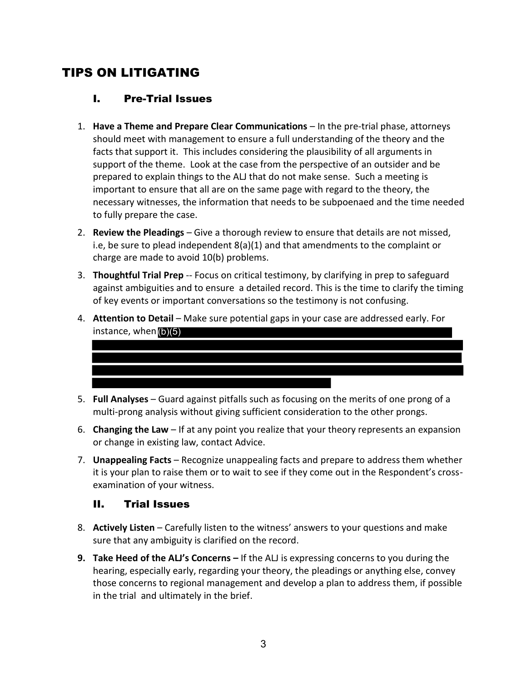# TIPS ON LITIGATING

### I. Pre-Trial Issues

- 1. **Have a Theme and Prepare Clear Communications** In the pre-trial phase, attorneys should meet with management to ensure a full understanding of the theory and the facts that support it. This includes considering the plausibility of all arguments in support of the theme. Look at the case from the perspective of an outsider and be prepared to explain things to the ALJ that do not make sense. Such a meeting is important to ensure that all are on the same page with regard to the theory, the necessary witnesses, the information that needs to be subpoenaed and the time needed to fully prepare the case.
- 2. **Review the Pleadings** Give a thorough review to ensure that details are not missed, i.e, be sure to plead independent 8(a)(1) and that amendments to the complaint or charge are made to avoid 10(b) problems.
- 3. **Thoughtful Trial Prep** -- Focus on critical testimony, by clarifying in prep to safeguard against ambiguities and to ensure a detailed record. This is the time to clarify the timing of key events or important conversations so the testimony is not confusing.
- 4. **Attention to Detail** Make sure potential gaps in your case are addressed early. For instance, when (b)(5)



- 5. **Full Analyses** Guard against pitfalls such as focusing on the merits of one prong of a multi-prong analysis without giving sufficient consideration to the other prongs.
- 6. **Changing the Law** If at any point you realize that your theory represents an expansion or change in existing law, contact Advice.
- 7. **Unappealing Facts**  Recognize unappealing facts and prepare to address them whether it is your plan to raise them or to wait to see if they come out in the Respondent's crossexamination of your witness.

### II. Trial Issues

- 8. **Actively Listen** Carefully listen to the witness' answers to your questions and make sure that any ambiguity is clarified on the record.
- **9. Take Heed of the ALJ's Concerns –** If the ALJ is expressing concerns to you during the hearing, especially early, regarding your theory, the pleadings or anything else, convey those concerns to regional management and develop a plan to address them, if possible in the trial and ultimately in the brief.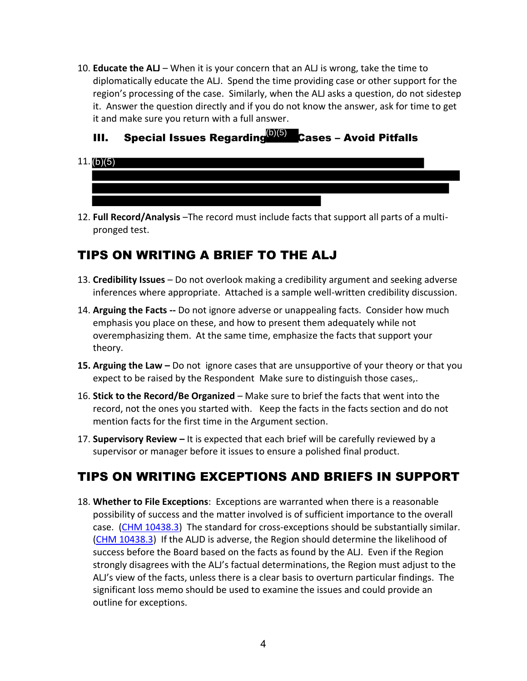10. **Educate the ALJ** – When it is your concern that an ALJ is wrong, take the time to diplomatically educate the ALJ. Spend the time providing case or other support for the region's processing of the case. Similarly, when the ALJ asks a question, do not sidestep it. Answer the question directly and if you do not know the answer, ask for time to get it and make sure you return with a full answer.

### III. Special Issues Regarding<sup>(b)(5)</sup> Cases – Avoid Pitfalls

- 11. (b)(5)
- 12. **Full Record/Analysis** –The record must include facts that support all parts of a multipronged test.

# TIPS ON WRITING A BRIEF TO THE ALJ

- 13. **Credibility Issues** Do not overlook making a credibility argument and seeking adverse inferences where appropriate. Attached is a sample well-written credibility discussion.
- 14. **Arguing the Facts --** Do not ignore adverse or unappealing facts. Consider how much emphasis you place on these, and how to present them adequately while not overemphasizing them. At the same time, emphasize the facts that support your theory.
- **15. Arguing the Law –** Do not ignore cases that are unsupportive of your theory or that you expect to be raised by the Respondent Make sure to distinguish those cases,.
- 16. **Stick to the Record/Be Organized**  Make sure to brief the facts that went into the record, not the ones you started with. Keep the facts in the facts section and do not mention facts for the first time in the Argument section.
- 17. **Supervisory Review –** It is expected that each brief will be carefully reviewed by a supervisor or manager before it issues to ensure a polished final product.

# TIPS ON WRITING EXCEPTIONS AND BRIEFS IN SUPPORT

18. **Whether to File Exceptions**: Exceptions are warranted when there is a reasonable possibility of success and the matter involved is of sufficient importance to the overall case. (CHM 10438.3) The standard for cross-exceptions should be substantially similar. (CHM 10438.3) If the ALJD is adverse, the Region should determine the likelihood of success before the Board based on the facts as found by the ALJ. Even if the Region strongly disagrees with the ALJ's factual determinations, the Region must adjust to the ALJ's view of the facts, unless there is a clear basis to overturn particular findings. The significant loss memo should be used to examine the issues and could provide an outline for exceptions.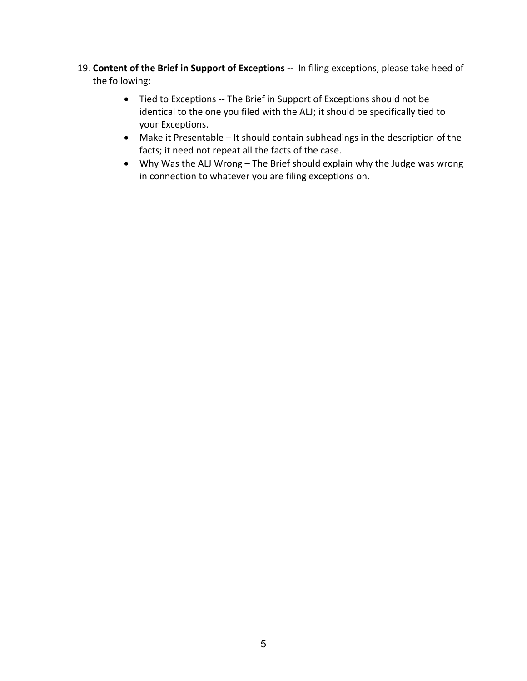- 19. **Content of the Brief in Support of Exceptions --** In filing exceptions, please take heed of the following:
	- Tied to Exceptions -- The Brief in Support of Exceptions should not be identical to the one you filed with the ALJ; it should be specifically tied to your Exceptions.
	- Make it Presentable It should contain subheadings in the description of the facts; it need not repeat all the facts of the case.
	- Why Was the ALJ Wrong The Brief should explain why the Judge was wrong in connection to whatever you are filing exceptions on.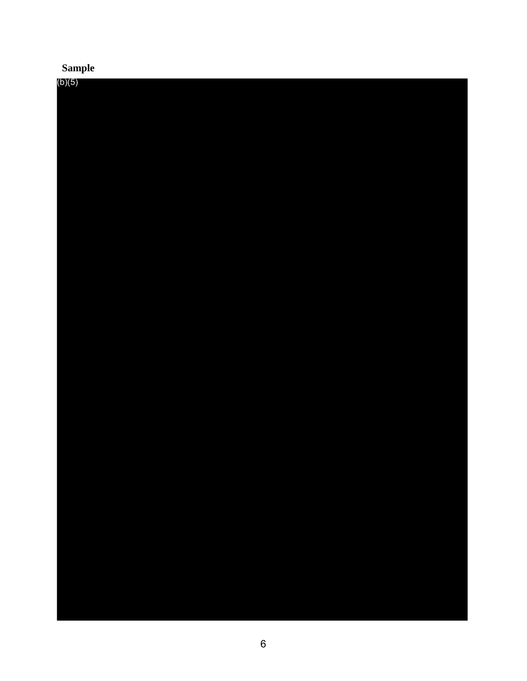# **Sample**

| (b)(5) |  |  |  |
|--------|--|--|--|
|        |  |  |  |
|        |  |  |  |
|        |  |  |  |
|        |  |  |  |
|        |  |  |  |
|        |  |  |  |
|        |  |  |  |
|        |  |  |  |
|        |  |  |  |
|        |  |  |  |
|        |  |  |  |
|        |  |  |  |
|        |  |  |  |
|        |  |  |  |
|        |  |  |  |
|        |  |  |  |
|        |  |  |  |
|        |  |  |  |
|        |  |  |  |
|        |  |  |  |
|        |  |  |  |
|        |  |  |  |
|        |  |  |  |
|        |  |  |  |
|        |  |  |  |
|        |  |  |  |
|        |  |  |  |
|        |  |  |  |
|        |  |  |  |
|        |  |  |  |
|        |  |  |  |
|        |  |  |  |